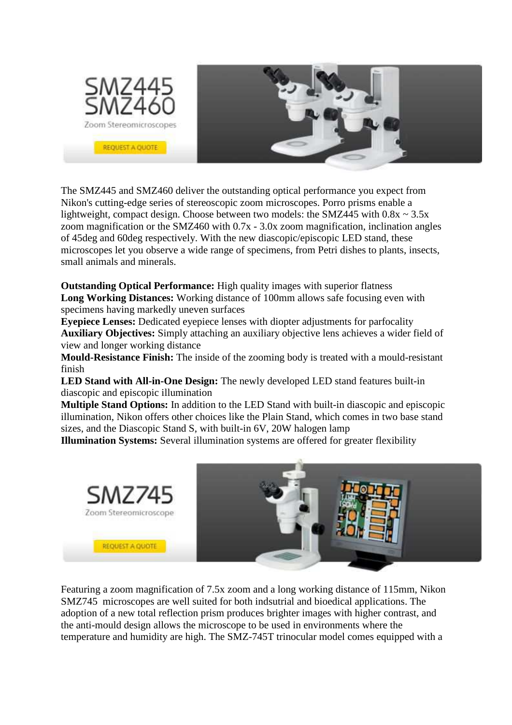

The SMZ445 and SMZ460 deliver the outstanding optical performance you expect from Nikon's cutting-edge series of stereoscopic zoom microscopes. Porro prisms enable a lightweight, compact design. Choose between two models: the SMZ445 with  $0.8x \sim 3.5x$ zoom magnification or the SMZ460 with 0.7x - 3.0x zoom magnification, inclination angles of 45deg and 60deg respectively. With the new diascopic/episcopic LED stand, these microscopes let you observe a wide range of specimens, from Petri dishes to plants, insects, small animals and minerals.

**Outstanding Optical Performance:** High quality images with superior flatness **Long Working Distances:** Working distance of 100mm allows safe focusing even with specimens having markedly uneven surfaces

**Eyepiece Lenses:** Dedicated eyepiece lenses with diopter adjustments for parfocality **Auxiliary Objectives:** Simply attaching an auxiliary objective lens achieves a wider field of view and longer working distance

**Mould-Resistance Finish:** The inside of the zooming body is treated with a mould-resistant finish

**LED Stand with All-in-One Design:** The newly developed LED stand features built-in diascopic and episcopic illumination

**Multiple Stand Options:** In addition to the LED Stand with built-in diascopic and episcopic illumination, Nikon offers other choices like the Plain Stand, which comes in two base stand sizes, and the Diascopic Stand S, with built-in 6V, 20W halogen lamp

**Illumination Systems:** Several illumination systems are offered for greater flexibility



Featuring a zoom magnification of 7.5x zoom and a long working distance of 115mm, Nikon SMZ745 microscopes are well suited for both indsutrial and bioedical applications. The adoption of a new total reflection prism produces brighter images with higher contrast, and the anti-mould design allows the microscope to be used in environments where the temperature and humidity are high. The SMZ-745T trinocular model comes equipped with a